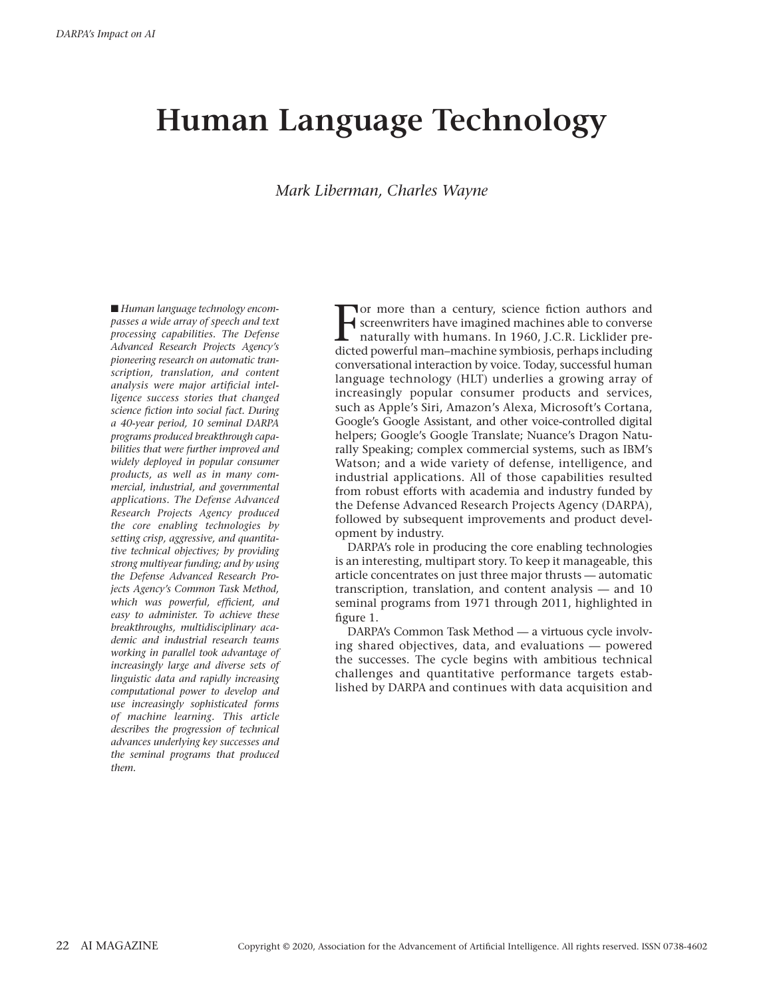# **Human Language Technology**

# *Mark Liberman, Charles Wayne*

■ *Human language technology encompasses a wide array of speech and text processing capabilities. The Defense Advanced Research Projects Agency's pioneering research on automatic transcription, translation, and content analysis were major artificial intelligence success stories that changed science fiction into social fact. During a 40-year period, 10 seminal DARPA programs produced breakthrough capabilities that were further improved and widely deployed in popular consumer products, as well as in many commercial, industrial, and governmental applications. The Defense Advanced Research Projects Agency produced the core enabling technologies by setting crisp, aggressive, and quantitative technical objectives; by providing strong multiyear funding; and by using the Defense Advanced Research Projects Agency's Common Task Method, which was powerful, efficient, and easy to administer. To achieve these breakthroughs, multidisciplinary academic and industrial research teams working in parallel took advantage of increasingly large and diverse sets of linguistic data and rapidly increasing computational power to develop and use increasingly sophisticated forms of machine learning. This article describes the progression of technical advances underlying key successes and the seminal programs that produced them.*

The more than a century, science fiction authors and screenwriters have imagined machines able to converse naturally with humans. In 1960, J.C.R. Licklider predicted powerful man–machine symbiosis, perhaps including or more than a century, science fiction authors and screenwriters have imagined machines able to converse naturally with humans. In 1960, J.C.R. Licklider preconversational interaction by voice. Today, successful human language technology (HLT) underlies a growing array of increasingly popular consumer products and services, such as Apple's Siri, Amazon's Alexa, Microsoft's Cortana, Google's Google Assistant, and other voice-controlled digital helpers; Google's Google Translate; Nuance's Dragon Naturally Speaking; complex commercial systems, such as IBM's Watson; and a wide variety of defense, intelligence, and industrial applications. All of those capabilities resulted from robust efforts with academia and industry funded by the Defense Advanced Research Projects Agency (DARPA), followed by subsequent improvements and product development by industry.

DARPA's role in producing the core enabling technologies is an interesting, multipart story. To keep it manageable, this article concentrates on just three major thrusts — automatic transcription, translation, and content analysis — and 10 seminal programs from 1971 through 2011, highlighted in [figure 1.](#page-2-0)

DARPA's Common Task Method — a virtuous cycle involving shared objectives, data, and evaluations — powered the successes. The cycle begins with ambitious technical challenges and quantitative performance targets established by DARPA and continues with data acquisition and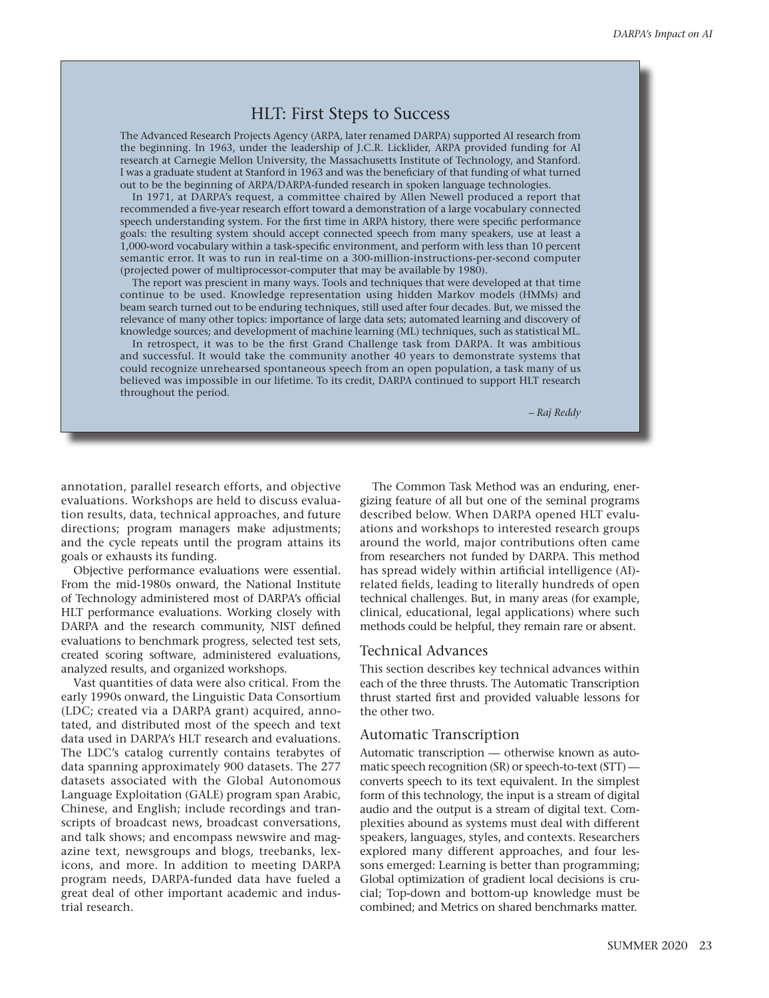# HLT: First Steps to Success

The Advanced Research Projects Agency (ARPA, later renamed DARPA) supported AI research from the beginning. In 1963, under the leadership of J.C.R. Licklider, ARPA provided funding for AI research at Carnegie Mellon University, the Massachusetts Institute of Technology, and Stanford. I was a graduate student at Stanford in 1963 and was the beneficiary of that funding of what turned out to be the beginning of ARPA/DARPA-funded research in spoken language technologies.

In 1971, at DARPA's request, a committee chaired by Allen Newell produced a report that recommended a five-year research effort toward a demonstration of a large vocabulary connected speech understanding system. For the first time in ARPA history, there were specific performance goals: the resulting system should accept connected speech from many speakers, use at least a 1,000-word vocabulary within a task-specific environment, and perform with less than 10 percent semantic error. It was to run in real-time on a 300-million-instructions-per-second computer (projected power of multiprocessor-computer that may be available by 1980).

The report was prescient in many ways. Tools and techniques that were developed at that time continue to be used. Knowledge representation using hidden Markov models (HMMs) and beam search turned out to be enduring techniques, still used after four decades. But, we missed the relevance of many other topics: importance of large data sets; automated learning and discovery of knowledge sources; and development of machine learning (ML) techniques, such as statistical ML.

In retrospect, it was to be the first Grand Challenge task from DARPA. It was ambitious and successful. It would take the community another 40 years to demonstrate systems that could recognize unrehearsed spontaneous speech from an open population, a task many of us believed was impossible in our lifetime. To its credit, DARPA continued to support HLT research throughout the period.

*– Raj Reddy*

annotation, parallel research efforts, and objective evaluations. Workshops are held to discuss evaluation results, data, technical approaches, and future directions; program managers make adjustments; and the cycle repeats until the program attains its goals or exhausts its funding.

Objective performance evaluations were essential. From the mid-1980s onward, the National Institute of Technology administered most of DARPA's official HLT performance evaluations. Working closely with DARPA and the research community, NIST defined evaluations to benchmark progress, selected test sets, created scoring software, administered evaluations, analyzed results, and organized workshops.

Vast quantities of data were also critical. From the early 1990s onward, the Linguistic Data Consortium (LDC; created via a DARPA grant) acquired, annotated, and distributed most of the speech and text data used in DARPA's HLT research and evaluations. The LDC's catalog currently contains terabytes of data spanning approximately 900 datasets. The 277 datasets associated with the Global Autonomous Language Exploitation (GALE) program span Arabic, Chinese, and English; include recordings and transcripts of broadcast news, broadcast conversations, and talk shows; and encompass newswire and magazine text, newsgroups and blogs, treebanks, lexicons, and more. In addition to meeting DARPA program needs, DARPA-funded data have fueled a great deal of other important academic and industrial research.

The Common Task Method was an enduring, energizing feature of all but one of the seminal programs described below. When DARPA opened HLT evaluations and workshops to interested research groups around the world, major contributions often came from researchers not funded by DARPA. This method has spread widely within artificial intelligence (AI) related fields, leading to literally hundreds of open technical challenges. But, in many areas (for example, clinical, educational, legal applications) where such methods could be helpful, they remain rare or absent.

## Technical Advances

This section describes key technical advances within each of the three thrusts. The Automatic Transcription thrust started first and provided valuable lessons for the other two.

# Automatic Transcription

Automatic transcription — otherwise known as automatic speech recognition (SR) or speech-to-text (STT) converts speech to its text equivalent. In the simplest form of this technology, the input is a stream of digital audio and the output is a stream of digital text. Complexities abound as systems must deal with different speakers, languages, styles, and contexts. Researchers explored many different approaches, and four lessons emerged: Learning is better than programming; Global optimization of gradient local decisions is crucial; Top-down and bottom-up knowledge must be combined; and Metrics on shared benchmarks matter.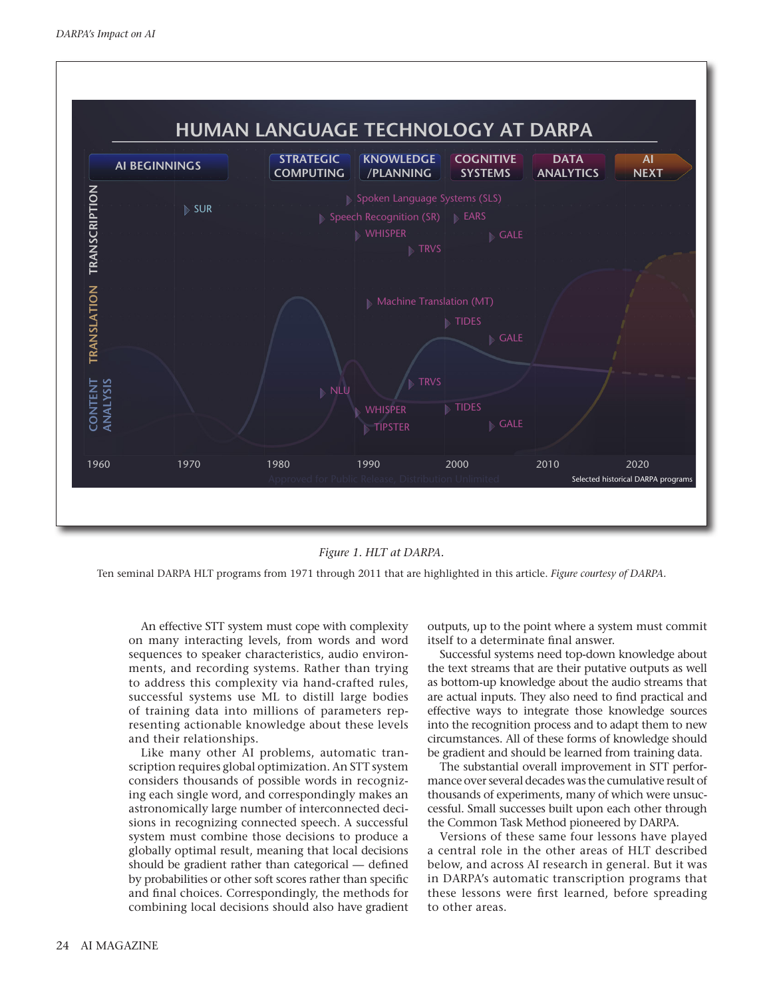

*Figure 1. HLT at DARPA.*

<span id="page-2-0"></span>Ten seminal DARPA HLT programs from 1971 through 2011 that are highlighted in this article. *Figure courtesy of DARPA.*

An effective STT system must cope with complexity on many interacting levels, from words and word sequences to speaker characteristics, audio environments, and recording systems. Rather than trying to address this complexity via hand-crafted rules, successful systems use ML to distill large bodies of training data into millions of parameters representing actionable knowledge about these levels and their relationships.

Like many other AI problems, automatic transcription requires global optimization. An STT system considers thousands of possible words in recognizing each single word, and correspondingly makes an astronomically large number of interconnected decisions in recognizing connected speech. A successful system must combine those decisions to produce a globally optimal result, meaning that local decisions should be gradient rather than categorical — defined by probabilities or other soft scores rather than specific and final choices. Correspondingly, the methods for combining local decisions should also have gradient outputs, up to the point where a system must commit itself to a determinate final answer.

Successful systems need top-down knowledge about the text streams that are their putative outputs as well as bottom-up knowledge about the audio streams that are actual inputs. They also need to find practical and effective ways to integrate those knowledge sources into the recognition process and to adapt them to new circumstances. All of these forms of knowledge should be gradient and should be learned from training data.

The substantial overall improvement in STT performance over several decades was the cumulative result of thousands of experiments, many of which were unsuccessful. Small successes built upon each other through the Common Task Method pioneered by DARPA.

Versions of these same four lessons have played a central role in the other areas of HLT described below, and across AI research in general. But it was in DARPA's automatic transcription programs that these lessons were first learned, before spreading to other areas.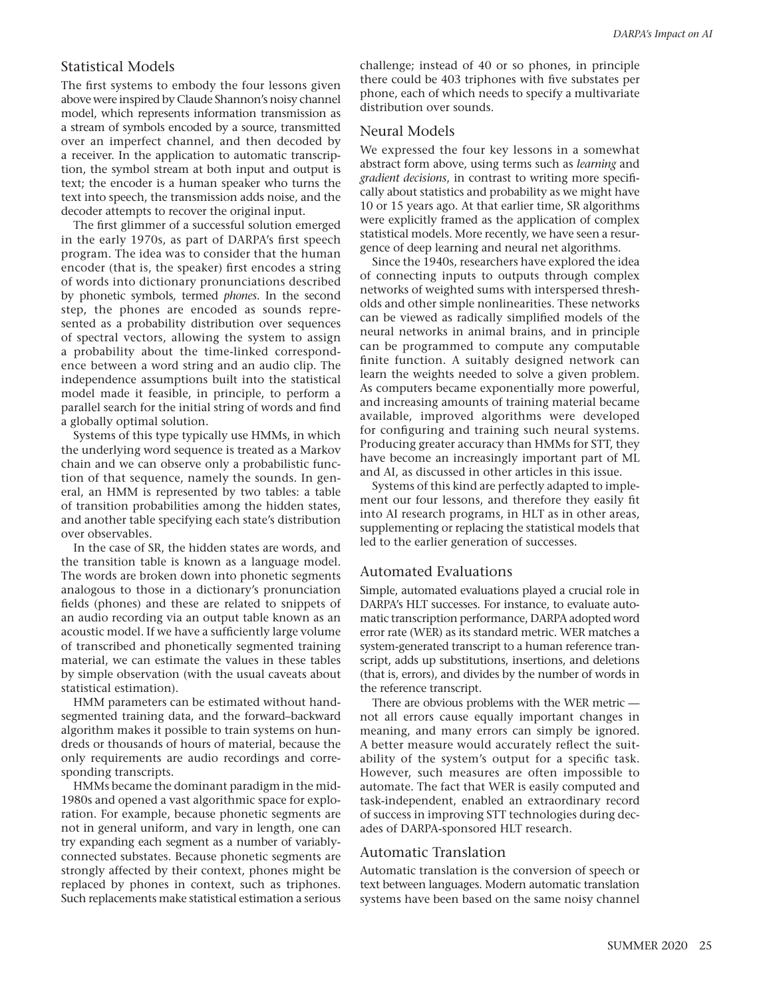# Statistical Models

The first systems to embody the four lessons given above were inspired by Claude Shannon's noisy channel model, which represents information transmission as a stream of symbols encoded by a source, transmitted over an imperfect channel, and then decoded by a receiver. In the application to automatic transcription, the symbol stream at both input and output is text; the encoder is a human speaker who turns the text into speech, the transmission adds noise, and the decoder attempts to recover the original input.

The first glimmer of a successful solution emerged in the early 1970s, as part of DARPA's first speech program. The idea was to consider that the human encoder (that is, the speaker) first encodes a string of words into dictionary pronunciations described by phonetic symbols, termed *phones*. In the second step, the phones are encoded as sounds represented as a probability distribution over sequences of spectral vectors, allowing the system to assign a probability about the time-linked correspondence between a word string and an audio clip. The independence assumptions built into the statistical model made it feasible, in principle, to perform a parallel search for the initial string of words and find a globally optimal solution.

Systems of this type typically use HMMs, in which the underlying word sequence is treated as a Markov chain and we can observe only a probabilistic function of that sequence, namely the sounds. In general, an HMM is represented by two tables: a table of transition probabilities among the hidden states, and another table specifying each state's distribution over observables.

In the case of SR, the hidden states are words, and the transition table is known as a language model. The words are broken down into phonetic segments analogous to those in a dictionary's pronunciation fields (phones) and these are related to snippets of an audio recording via an output table known as an acoustic model. If we have a sufficiently large volume of transcribed and phonetically segmented training material, we can estimate the values in these tables by simple observation (with the usual caveats about statistical estimation).

HMM parameters can be estimated without handsegmented training data, and the forward–backward algorithm makes it possible to train systems on hundreds or thousands of hours of material, because the only requirements are audio recordings and corresponding transcripts.

HMMs became the dominant paradigm in the mid-1980s and opened a vast algorithmic space for exploration. For example, because phonetic segments are not in general uniform, and vary in length, one can try expanding each segment as a number of variablyconnected substates. Because phonetic segments are strongly affected by their context, phones might be replaced by phones in context, such as triphones. Such replacements make statistical estimation a serious

challenge; instead of 40 or so phones, in principle there could be 403 triphones with five substates per phone, each of which needs to specify a multivariate distribution over sounds.

# Neural Models

We expressed the four key lessons in a somewhat abstract form above, using terms such as *learning* and *gradient decisions*, in contrast to writing more specifically about statistics and probability as we might have 10 or 15 years ago. At that earlier time, SR algorithms were explicitly framed as the application of complex statistical models. More recently, we have seen a resurgence of deep learning and neural net algorithms.

Since the 1940s, researchers have explored the idea of connecting inputs to outputs through complex networks of weighted sums with interspersed thresholds and other simple nonlinearities. These networks can be viewed as radically simplified models of the neural networks in animal brains, and in principle can be programmed to compute any computable finite function. A suitably designed network can learn the weights needed to solve a given problem. As computers became exponentially more powerful, and increasing amounts of training material became available, improved algorithms were developed for configuring and training such neural systems. Producing greater accuracy than HMMs for STT, they have become an increasingly important part of ML and AI, as discussed in other articles in this issue.

Systems of this kind are perfectly adapted to implement our four lessons, and therefore they easily fit into AI research programs, in HLT as in other areas, supplementing or replacing the statistical models that led to the earlier generation of successes.

# Automated Evaluations

Simple, automated evaluations played a crucial role in DARPA's HLT successes. For instance, to evaluate automatic transcription performance, DARPA adopted word error rate (WER) as its standard metric. WER matches a system-generated transcript to a human reference transcript, adds up substitutions, insertions, and deletions (that is, errors), and divides by the number of words in the reference transcript.

There are obvious problems with the WER metric not all errors cause equally important changes in meaning, and many errors can simply be ignored. A better measure would accurately reflect the suitability of the system's output for a specific task. However, such measures are often impossible to automate. The fact that WER is easily computed and task-independent, enabled an extraordinary record of success in improving STT technologies during decades of DARPA-sponsored HLT research.

## Automatic Translation

Automatic translation is the conversion of speech or text between languages. Modern automatic translation systems have been based on the same noisy channel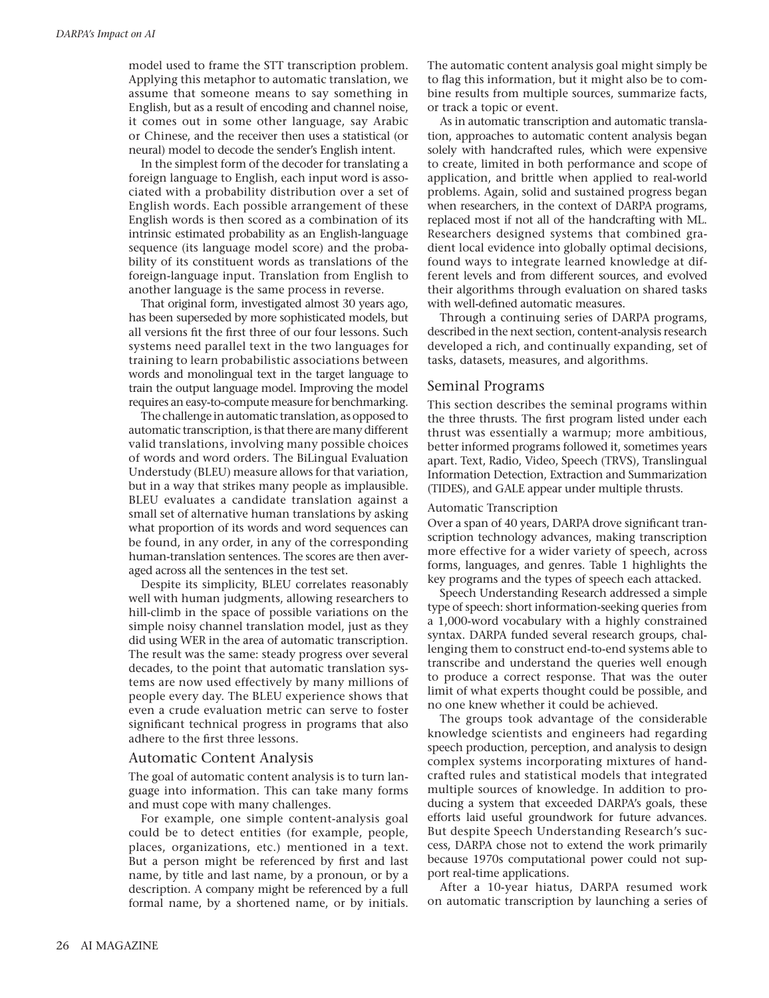model used to frame the STT transcription problem. Applying this metaphor to automatic translation, we assume that someone means to say something in English, but as a result of encoding and channel noise, it comes out in some other language, say Arabic or Chinese, and the receiver then uses a statistical (or neural) model to decode the sender's English intent.

In the simplest form of the decoder for translating a foreign language to English, each input word is associated with a probability distribution over a set of English words. Each possible arrangement of these English words is then scored as a combination of its intrinsic estimated probability as an English-language sequence (its language model score) and the probability of its constituent words as translations of the foreign-language input. Translation from English to another language is the same process in reverse.

That original form, investigated almost 30 years ago, has been superseded by more sophisticated models, but all versions fit the first three of our four lessons. Such systems need parallel text in the two languages for training to learn probabilistic associations between words and monolingual text in the target language to train the output language model. Improving the model requires an easy-to-compute measure for benchmarking.

The challenge in automatic translation, as opposed to automatic transcription, is that there are many different valid translations, involving many possible choices of words and word orders. The BiLingual Evaluation Understudy (BLEU) measure allows for that variation, but in a way that strikes many people as implausible. BLEU evaluates a candidate translation against a small set of alternative human translations by asking what proportion of its words and word sequences can be found, in any order, in any of the corresponding human-translation sentences. The scores are then averaged across all the sentences in the test set.

Despite its simplicity, BLEU correlates reasonably well with human judgments, allowing researchers to hill-climb in the space of possible variations on the simple noisy channel translation model, just as they did using WER in the area of automatic transcription. The result was the same: steady progress over several decades, to the point that automatic translation systems are now used effectively by many millions of people every day. The BLEU experience shows that even a crude evaluation metric can serve to foster significant technical progress in programs that also adhere to the first three lessons.

### Automatic Content Analysis

The goal of automatic content analysis is to turn language into information. This can take many forms and must cope with many challenges.

For example, one simple content-analysis goal could be to detect entities (for example, people, places, organizations, etc.) mentioned in a text. But a person might be referenced by first and last name, by title and last name, by a pronoun, or by a description. A company might be referenced by a full formal name, by a shortened name, or by initials. The automatic content analysis goal might simply be to flag this information, but it might also be to combine results from multiple sources, summarize facts, or track a topic or event.

As in automatic transcription and automatic translation, approaches to automatic content analysis began solely with handcrafted rules, which were expensive to create, limited in both performance and scope of application, and brittle when applied to real-world problems. Again, solid and sustained progress began when researchers, in the context of DARPA programs, replaced most if not all of the handcrafting with ML. Researchers designed systems that combined gradient local evidence into globally optimal decisions, found ways to integrate learned knowledge at different levels and from different sources, and evolved their algorithms through evaluation on shared tasks with well-defined automatic measures.

Through a continuing series of DARPA programs, described in the next section, content-analysis research developed a rich, and continually expanding, set of tasks, datasets, measures, and algorithms.

# Seminal Programs

This section describes the seminal programs within the three thrusts. The first program listed under each thrust was essentially a warmup; more ambitious, better informed programs followed it, sometimes years apart. Text, Radio, Video, Speech (TRVS), Translingual Information Detection, Extraction and Summarization (TIDES), and GALE appear under multiple thrusts.

### Automatic Transcription

Over a span of 40 years, DARPA drove significant transcription technology advances, making transcription more effective for a wider variety of speech, across forms, languages, and genres. [Table 1](#page-5-0) highlights the key programs and the types of speech each attacked.

Speech Understanding Research addressed a simple type of speech: short information-seeking queries from a 1,000-word vocabulary with a highly constrained syntax. DARPA funded several research groups, challenging them to construct end-to-end systems able to transcribe and understand the queries well enough to produce a correct response. That was the outer limit of what experts thought could be possible, and no one knew whether it could be achieved.

The groups took advantage of the considerable knowledge scientists and engineers had regarding speech production, perception, and analysis to design complex systems incorporating mixtures of handcrafted rules and statistical models that integrated multiple sources of knowledge. In addition to producing a system that exceeded DARPA's goals, these efforts laid useful groundwork for future advances. But despite Speech Understanding Research's success, DARPA chose not to extend the work primarily because 1970s computational power could not support real-time applications.

After a 10-year hiatus, DARPA resumed work on automatic transcription by launching a series of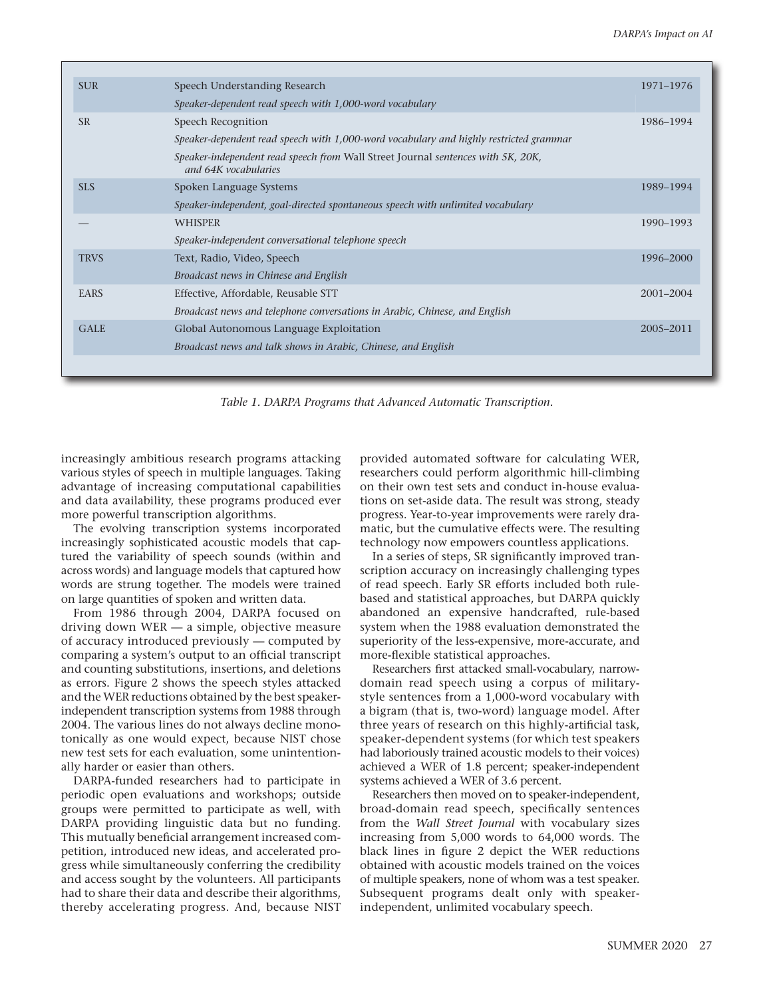<span id="page-5-0"></span>

| <b>SUR</b>  | Speech Understanding Research                                                                            | 1971–1976     |
|-------------|----------------------------------------------------------------------------------------------------------|---------------|
|             | Speaker-dependent read speech with 1,000-word vocabulary                                                 |               |
| <b>SR</b>   | Speech Recognition                                                                                       | 1986-1994     |
|             | Speaker-dependent read speech with 1,000-word vocabulary and highly restricted grammar                   |               |
|             | Speaker-independent read speech from Wall Street Journal sentences with 5K, 20K,<br>and 64K vocabularies |               |
| <b>SLS</b>  | Spoken Language Systems                                                                                  | 1989-1994     |
|             | Speaker-independent, goal-directed spontaneous speech with unlimited vocabulary                          |               |
|             | <b>WHISPER</b>                                                                                           | 1990-1993     |
|             | Speaker-independent conversational telephone speech                                                      |               |
| <b>TRVS</b> | Text, Radio, Video, Speech                                                                               | 1996-2000     |
|             | Broadcast news in Chinese and English                                                                    |               |
| <b>EARS</b> | Effective, Affordable, Reusable STT                                                                      | $2001 - 2004$ |
|             | Broadcast news and telephone conversations in Arabic, Chinese, and English                               |               |
| <b>GALE</b> | Global Autonomous Language Exploitation                                                                  | 2005-2011     |
|             | Broadcast news and talk shows in Arabic, Chinese, and English                                            |               |
|             |                                                                                                          |               |

*Table 1. DARPA Programs that Advanced Automatic Transcription.*

increasingly ambitious research programs attacking various styles of speech in multiple languages. Taking advantage of increasing computational capabilities and data availability, these programs produced ever more powerful transcription algorithms.

The evolving transcription systems incorporated increasingly sophisticated acoustic models that captured the variability of speech sounds (within and across words) and language models that captured how words are strung together. The models were trained on large quantities of spoken and written data.

From 1986 through 2004, DARPA focused on driving down WER — a simple, objective measure of accuracy introduced previously — computed by comparing a system's output to an official transcript and counting substitutions, insertions, and deletions as errors. [Figure 2](#page-7-0) shows the speech styles attacked and the WER reductions obtained by the best speakerindependent transcription systems from 1988 through 2004. The various lines do not always decline monotonically as one would expect, because NIST chose new test sets for each evaluation, some unintentionally harder or easier than others.

DARPA-funded researchers had to participate in periodic open evaluations and workshops; outside groups were permitted to participate as well, with DARPA providing linguistic data but no funding. This mutually beneficial arrangement increased competition, introduced new ideas, and accelerated progress while simultaneously conferring the credibility and access sought by the volunteers. All participants had to share their data and describe their algorithms, thereby accelerating progress. And, because NIST

provided automated software for calculating WER, researchers could perform algorithmic hill-climbing on their own test sets and conduct in-house evaluations on set-aside data. The result was strong, steady progress. Year-to-year improvements were rarely dramatic, but the cumulative effects were. The resulting technology now empowers countless applications.

In a series of steps, SR significantly improved transcription accuracy on increasingly challenging types of read speech. Early SR efforts included both rulebased and statistical approaches, but DARPA quickly abandoned an expensive handcrafted, rule-based system when the 1988 evaluation demonstrated the superiority of the less-expensive, more-accurate, and more-flexible statistical approaches.

Researchers first attacked small-vocabulary, narrowdomain read speech using a corpus of militarystyle sentences from a 1,000-word vocabulary with a bigram (that is, two-word) language model. After three years of research on this highly-artificial task, speaker-dependent systems (for which test speakers had laboriously trained acoustic models to their voices) achieved a WER of 1.8 percent; speaker-independent systems achieved a WER of 3.6 percent.

Researchers then moved on to speaker-independent, broad-domain read speech, specifically sentences from the *Wall Street Journal* with vocabulary sizes increasing from 5,000 words to 64,000 words. The black lines in [figure 2](#page-7-0) depict the WER reductions obtained with acoustic models trained on the voices of multiple speakers, none of whom was a test speaker. Subsequent programs dealt only with speakerindependent, unlimited vocabulary speech.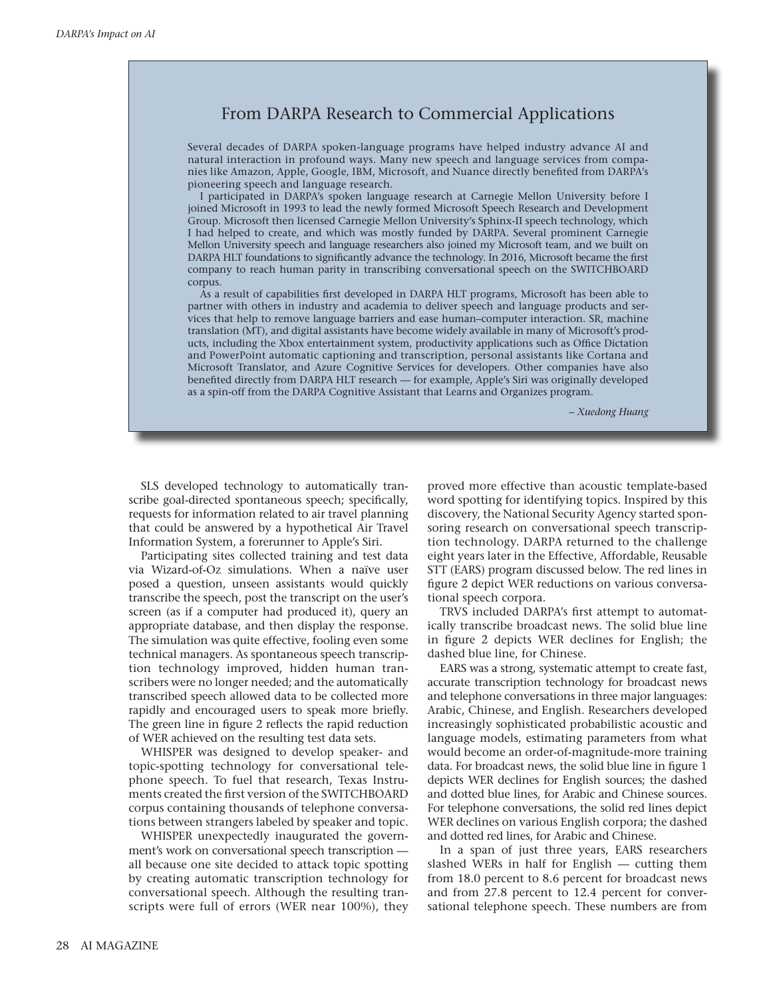# From DARPA Research to Commercial Applications

Several decades of DARPA spoken-language programs have helped industry advance AI and natural interaction in profound ways. Many new speech and language services from companies like Amazon, Apple, Google, IBM, Microsoft, and Nuance directly benefited from DARPA's pioneering speech and language research.

I participated in DARPA's spoken language research at Carnegie Mellon University before I joined Microsoft in 1993 to lead the newly formed Microsoft Speech Research and Development Group. Microsoft then licensed Carnegie Mellon University's Sphinx-II speech technology, which I had helped to create, and which was mostly funded by DARPA. Several prominent Carnegie Mellon University speech and language researchers also joined my Microsoft team, and we built on DARPA HLT foundations to significantly advance the technology. In 2016, Microsoft became the first company to reach human parity in transcribing conversational speech on the SWITCHBOARD corpus.

As a result of capabilities first developed in DARPA HLT programs, Microsoft has been able to partner with others in industry and academia to deliver speech and language products and services that help to remove language barriers and ease human–computer interaction. SR, machine translation (MT), and digital assistants have become widely available in many of Microsoft's products, including the Xbox entertainment system, productivity applications such as Office Dictation and PowerPoint automatic captioning and transcription, personal assistants like Cortana and Microsoft Translator, and Azure Cognitive Services for developers. Other companies have also benefited directly from DARPA HLT research — for example, Apple's Siri was originally developed as a spin-off from the DARPA Cognitive Assistant that Learns and Organizes program.

*– Xuedong Huang*

SLS developed technology to automatically transcribe goal-directed spontaneous speech; specifically, requests for information related to air travel planning that could be answered by a hypothetical Air Travel Information System, a forerunner to Apple's Siri.

Participating sites collected training and test data via Wizard-of-Oz simulations. When a naïve user posed a question, unseen assistants would quickly transcribe the speech, post the transcript on the user's screen (as if a computer had produced it), query an appropriate database, and then display the response. The simulation was quite effective, fooling even some technical managers. As spontaneous speech transcription technology improved, hidden human transcribers were no longer needed; and the automatically transcribed speech allowed data to be collected more rapidly and encouraged users to speak more briefly. The green line in [figure 2](#page-7-0) reflects the rapid reduction of WER achieved on the resulting test data sets.

WHISPER was designed to develop speaker- and topic-spotting technology for conversational telephone speech. To fuel that research, Texas Instruments created the first version of the SWITCHBOARD corpus containing thousands of telephone conversations between strangers labeled by speaker and topic.

WHISPER unexpectedly inaugurated the government's work on conversational speech transcription all because one site decided to attack topic spotting by creating automatic transcription technology for conversational speech. Although the resulting transcripts were full of errors (WER near 100%), they proved more effective than acoustic template-based word spotting for identifying topics. Inspired by this discovery, the National Security Agency started sponsoring research on conversational speech transcription technology. DARPA returned to the challenge eight years later in the Effective, Affordable, Reusable STT (EARS) program discussed below. The red lines in [figure 2](#page-7-0) depict WER reductions on various conversational speech corpora.

TRVS included DARPA's first attempt to automatically transcribe broadcast news. The solid blue line in [figure 2](#page-7-0) depicts WER declines for English; the dashed blue line, for Chinese.

EARS was a strong, systematic attempt to create fast, accurate transcription technology for broadcast news and telephone conversations in three major languages: Arabic, Chinese, and English. Researchers developed increasingly sophisticated probabilistic acoustic and language models, estimating parameters from what would become an order-of-magnitude-more training data. For broadcast news, the solid blue line in [figure 1](#page-2-0) depicts WER declines for English sources; the dashed and dotted blue lines, for Arabic and Chinese sources. For telephone conversations, the solid red lines depict WER declines on various English corpora; the dashed and dotted red lines, for Arabic and Chinese.

In a span of just three years, EARS researchers slashed WERs in half for English — cutting them from 18.0 percent to 8.6 percent for broadcast news and from 27.8 percent to 12.4 percent for conversational telephone speech. These numbers are from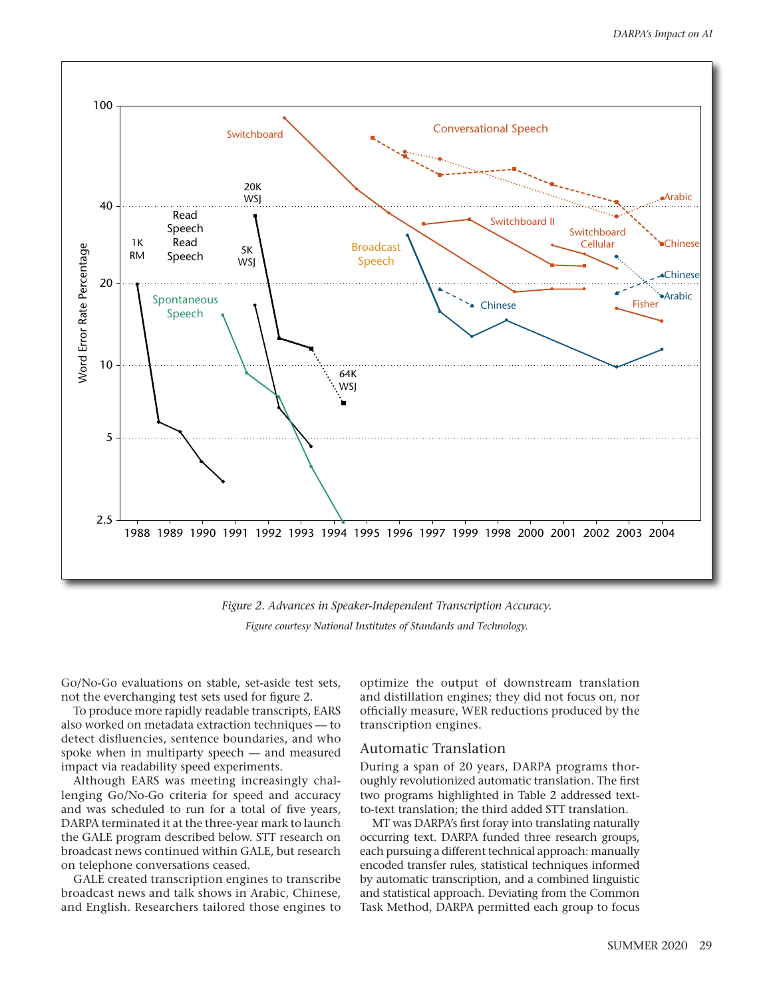

*Figure 2. Advances in Speaker-Independent Transcription Accuracy. Figure courtesy National Institutes of Standards and Technology.*

<span id="page-7-0"></span>Go/No-Go evaluations on stable, set-aside test sets, not the everchanging test sets used for [figure 2](#page-7-0).

To produce more rapidly readable transcripts, EARS also worked on metadata extraction techniques — to detect disfluencies, sentence boundaries, and who spoke when in multiparty speech — and measured impact via readability speed experiments.

Although EARS was meeting increasingly challenging Go/No-Go criteria for speed and accuracy and was scheduled to run for a total of five years, DARPA terminated it at the three-year mark to launch the GALE program described below. STT research on broadcast news continued within GALE, but research on telephone conversations ceased.

GALE created transcription engines to transcribe broadcast news and talk shows in Arabic, Chinese, and English. Researchers tailored those engines to

optimize the output of downstream translation and distillation engines; they did not focus on, nor officially measure, WER reductions produced by the transcription engines.

# Automatic Translation

During a span of 20 years, DARPA programs thoroughly revolutionized automatic translation. The first two programs highlighted in [Table 2](#page-8-0) addressed textto-text translation; the third added STT translation.

MT was DARPA's first foray into translating naturally occurring text. DARPA funded three research groups, each pursuing a different technical approach: manually encoded transfer rules, statistical techniques informed by automatic transcription, and a combined linguistic and statistical approach. Deviating from the Common Task Method, DARPA permitted each group to focus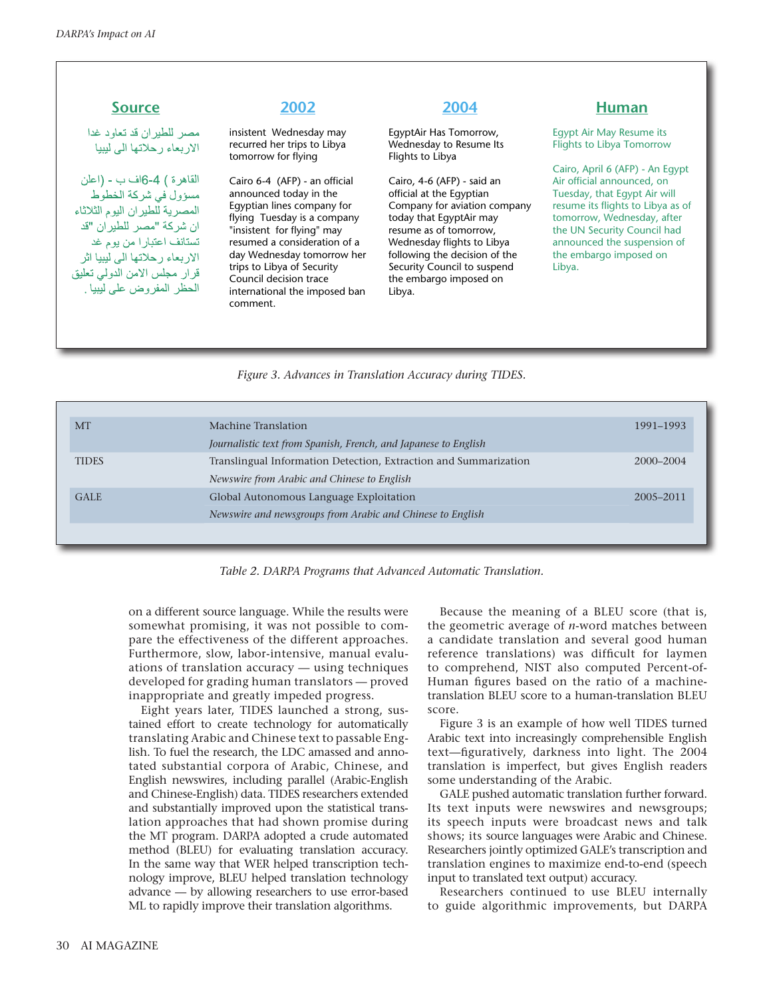مصر للطير ان قد تعاود غدا الار بعاء رحلاتها الى ليبيا

القاهر ة ) 4-6اف ب - (اعلن مسؤول في شركة الخطوط المصرية للطيران اليوم الثلاثاء ان شركة "مصر للطيران "قد تستانف اعتبارا من يوم غد الاربعاء رحلاتها الى ليبيا اثر قرار مجلس الامن الدولي تعليق الحظر المفر وض على ليبيا .

insistent Wednesday may recurred her trips to Libya tomorrow for flying

Cairo 6-4 (AFP) - an official announced today in the Egyptian lines company for flying Tuesday is a company "insistent for flying" may resumed a consideration of a day Wednesday tomorrow her trips to Libya of Security Council decision trace international the imposed ban comment.

EgyptAir Has Tomorrow, Wednesday to Resume Its Flights to Libya

Cairo, 4-6 (AFP) - said an official at the Egyptian Company for aviation company today that EgyptAir may resume as of tomorrow, Wednesday flights to Libya following the decision of the Security Council to suspend the embargo imposed on Libya.

# **Source 2002 2004 Human**

Egypt Air May Resume its Flights to Libya Tomorrow

Cairo, April 6 (AFP) - An Egypt Air official announced, on Tuesday, that Egypt Air will resume its flights to Libya as of tomorrow, Wednesday, after the UN Security Council had announced the suspension of the embargo imposed on Libya.

# *Figure 3. Advances in Translation Accuracy during TIDES.*

<span id="page-8-1"></span><span id="page-8-0"></span>

| <b>MT</b>    | Machine Translation                                              | 1991-1993 |
|--------------|------------------------------------------------------------------|-----------|
|              | Journalistic text from Spanish, French, and Japanese to English  |           |
| <b>TIDES</b> | Translingual Information Detection, Extraction and Summarization | 2000-2004 |
|              | Newswire from Arabic and Chinese to English                      |           |
| <b>GALE</b>  | Global Autonomous Language Exploitation                          | 2005-2011 |
|              | Newswire and newsgroups from Arabic and Chinese to English       |           |
|              |                                                                  |           |

*Table 2. DARPA Programs that Advanced Automatic Translation.*

on a different source language. While the results were somewhat promising, it was not possible to compare the effectiveness of the different approaches. Furthermore, slow, labor-intensive, manual evaluations of translation accuracy — using techniques developed for grading human translators — proved inappropriate and greatly impeded progress.

Eight years later, TIDES launched a strong, sustained effort to create technology for automatically translating Arabic and Chinese text to passable English. To fuel the research, the LDC amassed and annotated substantial corpora of Arabic, Chinese, and English newswires, including parallel (Arabic-English and Chinese-English) data. TIDES researchers extended and substantially improved upon the statistical translation approaches that had shown promise during the MT program. DARPA adopted a crude automated method (BLEU) for evaluating translation accuracy. In the same way that WER helped transcription technology improve, BLEU helped translation technology advance — by allowing researchers to use error-based ML to rapidly improve their translation algorithms.

Because the meaning of a BLEU score (that is, the geometric average of *n*-word matches between a candidate translation and several good human reference translations) was difficult for laymen to comprehend, NIST also computed Percent-of-Human figures based on the ratio of a machinetranslation BLEU score to a human-translation BLEU score.

[Figure 3](#page-8-1) is an example of how well TIDES turned Arabic text into increasingly comprehensible English text—figuratively, darkness into light. The 2004 translation is imperfect, but gives English readers some understanding of the Arabic.

GALE pushed automatic translation further forward. Its text inputs were newswires and newsgroups; its speech inputs were broadcast news and talk shows; its source languages were Arabic and Chinese. Researchers jointly optimized GALE's transcription and translation engines to maximize end-to-end (speech input to translated text output) accuracy.

Researchers continued to use BLEU internally to guide algorithmic improvements, but DARPA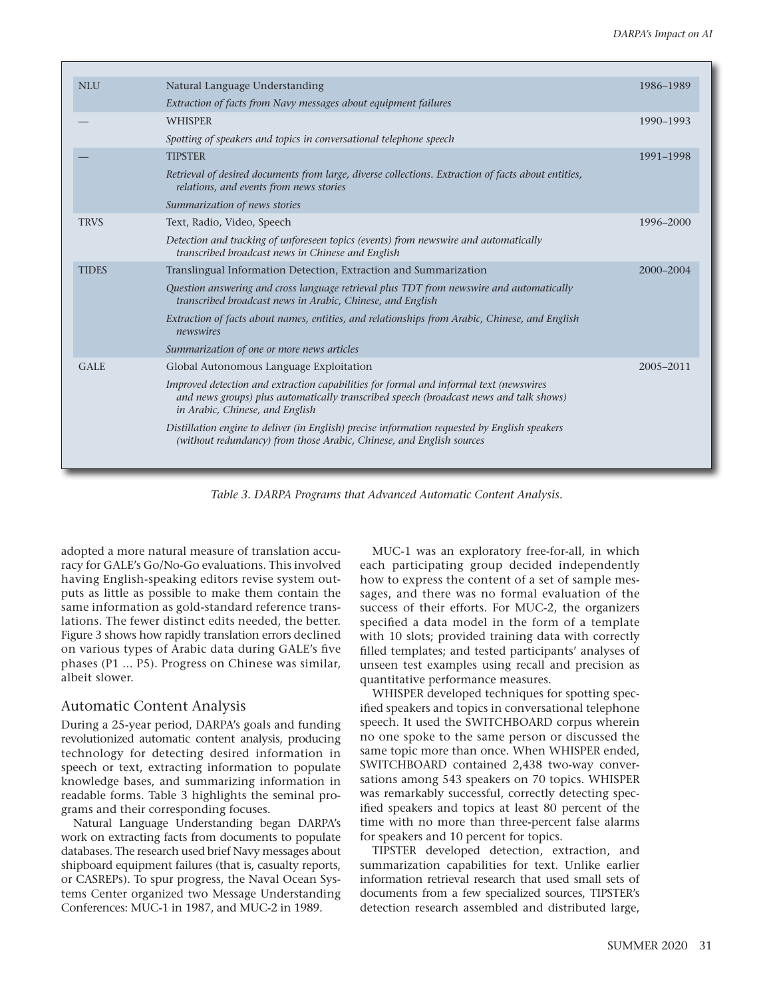<span id="page-9-0"></span>

| <b>NLU</b>   | Natural Language Understanding                                                                                                                                                                                      | 1986-1989 |
|--------------|---------------------------------------------------------------------------------------------------------------------------------------------------------------------------------------------------------------------|-----------|
|              | Extraction of facts from Navy messages about equipment failures                                                                                                                                                     |           |
|              | <b>WHISPER</b>                                                                                                                                                                                                      | 1990-1993 |
|              | Spotting of speakers and topics in conversational telephone speech                                                                                                                                                  |           |
|              | <b>TIPSTER</b>                                                                                                                                                                                                      | 1991-1998 |
|              | Retrieval of desired documents from large, diverse collections. Extraction of facts about entities,<br>relations, and events from news stories                                                                      |           |
|              | Summarization of news stories                                                                                                                                                                                       |           |
| <b>TRVS</b>  | Text, Radio, Video, Speech                                                                                                                                                                                          | 1996-2000 |
|              | Detection and tracking of unforeseen topics (events) from newswire and automatically<br>transcribed broadcast news in Chinese and English                                                                           |           |
| <b>TIDES</b> | Translingual Information Detection, Extraction and Summarization                                                                                                                                                    | 2000-2004 |
|              | Question answering and cross language retrieval plus TDT from newswire and automatically<br>transcribed broadcast news in Arabic, Chinese, and English                                                              |           |
|              | Extraction of facts about names, entities, and relationships from Arabic, Chinese, and English<br>newswires                                                                                                         |           |
|              | Summarization of one or more news articles                                                                                                                                                                          |           |
| <b>GALE</b>  | Global Autonomous Language Exploitation                                                                                                                                                                             | 2005-2011 |
|              | Improved detection and extraction capabilities for formal and informal text (newswires<br>and news groups) plus automatically transcribed speech (broadcast news and talk shows)<br>in Arabic, Chinese, and English |           |
|              | Distillation engine to deliver (in English) precise information requested by English speakers<br>(without redundancy) from those Arabic, Chinese, and English sources                                               |           |
|              |                                                                                                                                                                                                                     |           |

*Table 3. DARPA Programs that Advanced Automatic Content Analysis.*

adopted a more natural measure of translation accuracy for GALE's Go/No-Go evaluations. This involved having English-speaking editors revise system outputs as little as possible to make them contain the same information as gold-standard reference translations. The fewer distinct edits needed, the better. [Figure 3](#page-8-1) shows how rapidly translation errors declined on various types of Arabic data during GALE's five phases (P1 ... P5). Progress on Chinese was similar, albeit slower.

# Automatic Content Analysis

During a 25-year period, DARPA's goals and funding revolutionized automatic content analysis, producing technology for detecting desired information in speech or text, extracting information to populate knowledge bases, and summarizing information in readable forms. [Table 3](#page-9-0) highlights the seminal programs and their corresponding focuses.

Natural Language Understanding began DARPA's work on extracting facts from documents to populate databases. The research used brief Navy messages about shipboard equipment failures (that is, casualty reports, or CASREPs). To spur progress, the Naval Ocean Systems Center organized two Message Understanding Conferences: MUC-1 in 1987, and MUC-2 in 1989.

MUC-1 was an exploratory free-for-all, in which each participating group decided independently how to express the content of a set of sample messages, and there was no formal evaluation of the success of their efforts. For MUC-2, the organizers specified a data model in the form of a template with 10 slots; provided training data with correctly filled templates; and tested participants' analyses of unseen test examples using recall and precision as quantitative performance measures.

WHISPER developed techniques for spotting specified speakers and topics in conversational telephone speech. It used the SWITCHBOARD corpus wherein no one spoke to the same person or discussed the same topic more than once. When WHISPER ended, SWITCHBOARD contained 2,438 two-way conversations among 543 speakers on 70 topics. WHISPER was remarkably successful, correctly detecting specified speakers and topics at least 80 percent of the time with no more than three-percent false alarms for speakers and 10 percent for topics.

TIPSTER developed detection, extraction, and summarization capabilities for text. Unlike earlier information retrieval research that used small sets of documents from a few specialized sources, TIPSTER's detection research assembled and distributed large,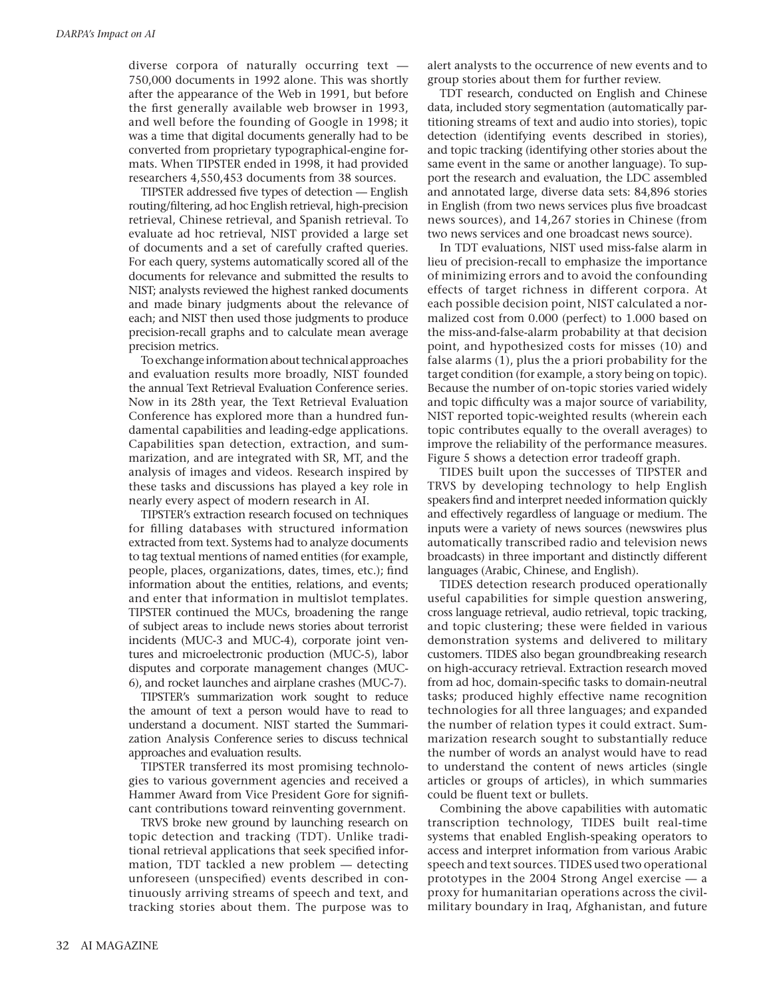diverse corpora of naturally occurring text — 750,000 documents in 1992 alone. This was shortly after the appearance of the Web in 1991, but before the first generally available web browser in 1993, and well before the founding of Google in 1998; it was a time that digital documents generally had to be converted from proprietary typographical-engine formats. When TIPSTER ended in 1998, it had provided researchers 4,550,453 documents from 38 sources.

TIPSTER addressed five types of detection — English routing/filtering, ad hoc English retrieval, high-precision retrieval, Chinese retrieval, and Spanish retrieval. To evaluate ad hoc retrieval, NIST provided a large set of documents and a set of carefully crafted queries. For each query, systems automatically scored all of the documents for relevance and submitted the results to NIST; analysts reviewed the highest ranked documents and made binary judgments about the relevance of each; and NIST then used those judgments to produce precision-recall graphs and to calculate mean average precision metrics.

To exchange information about technical approaches and evaluation results more broadly, NIST founded the annual Text Retrieval Evaluation Conference series. Now in its 28th year, the Text Retrieval Evaluation Conference has explored more than a hundred fundamental capabilities and leading-edge applications. Capabilities span detection, extraction, and summarization, and are integrated with SR, MT, and the analysis of images and videos. Research inspired by these tasks and discussions has played a key role in nearly every aspect of modern research in AI.

TIPSTER's extraction research focused on techniques for filling databases with structured information extracted from text. Systems had to analyze documents to tag textual mentions of named entities (for example, people, places, organizations, dates, times, etc.); find information about the entities, relations, and events; and enter that information in multislot templates. TIPSTER continued the MUCs, broadening the range of subject areas to include news stories about terrorist incidents (MUC-3 and MUC-4), corporate joint ventures and microelectronic production (MUC-5), labor disputes and corporate management changes (MUC-6), and rocket launches and airplane crashes (MUC-7).

TIPSTER's summarization work sought to reduce the amount of text a person would have to read to understand a document. NIST started the Summarization Analysis Conference series to discuss technical approaches and evaluation results.

TIPSTER transferred its most promising technologies to various government agencies and received a Hammer Award from Vice President Gore for significant contributions toward reinventing government.

TRVS broke new ground by launching research on topic detection and tracking (TDT). Unlike traditional retrieval applications that seek specified information, TDT tackled a new problem — detecting unforeseen (unspecified) events described in continuously arriving streams of speech and text, and tracking stories about them. The purpose was to alert analysts to the occurrence of new events and to group stories about them for further review.

TDT research, conducted on English and Chinese data, included story segmentation (automatically partitioning streams of text and audio into stories), topic detection (identifying events described in stories), and topic tracking (identifying other stories about the same event in the same or another language). To support the research and evaluation, the LDC assembled and annotated large, diverse data sets: 84,896 stories in English (from two news services plus five broadcast news sources), and 14,267 stories in Chinese (from two news services and one broadcast news source).

In TDT evaluations, NIST used miss-false alarm in lieu of precision-recall to emphasize the importance of minimizing errors and to avoid the confounding effects of target richness in different corpora. At each possible decision point, NIST calculated a normalized cost from 0.000 (perfect) to 1.000 based on the miss-and-false-alarm probability at that decision point, and hypothesized costs for misses (10) and false alarms (1), plus the a priori probability for the target condition (for example, a story being on topic). Because the number of on-topic stories varied widely and topic difficulty was a major source of variability, NIST reported topic-weighted results (wherein each topic contributes equally to the overall averages) to improve the reliability of the performance measures. [Figure 5](#page-12-0) shows a detection error tradeoff graph.

TIDES built upon the successes of TIPSTER and TRVS by developing technology to help English speakers find and interpret needed information quickly and effectively regardless of language or medium. The inputs were a variety of news sources (newswires plus automatically transcribed radio and television news broadcasts) in three important and distinctly different languages (Arabic, Chinese, and English).

TIDES detection research produced operationally useful capabilities for simple question answering, cross language retrieval, audio retrieval, topic tracking, and topic clustering; these were fielded in various demonstration systems and delivered to military customers. TIDES also began groundbreaking research on high-accuracy retrieval. Extraction research moved from ad hoc, domain-specific tasks to domain-neutral tasks; produced highly effective name recognition technologies for all three languages; and expanded the number of relation types it could extract. Summarization research sought to substantially reduce the number of words an analyst would have to read to understand the content of news articles (single articles or groups of articles), in which summaries could be fluent text or bullets.

Combining the above capabilities with automatic transcription technology, TIDES built real-time systems that enabled English-speaking operators to access and interpret information from various Arabic speech and text sources. TIDES used two operational prototypes in the 2004 Strong Angel exercise — a proxy for humanitarian operations across the civilmilitary boundary in Iraq, Afghanistan, and future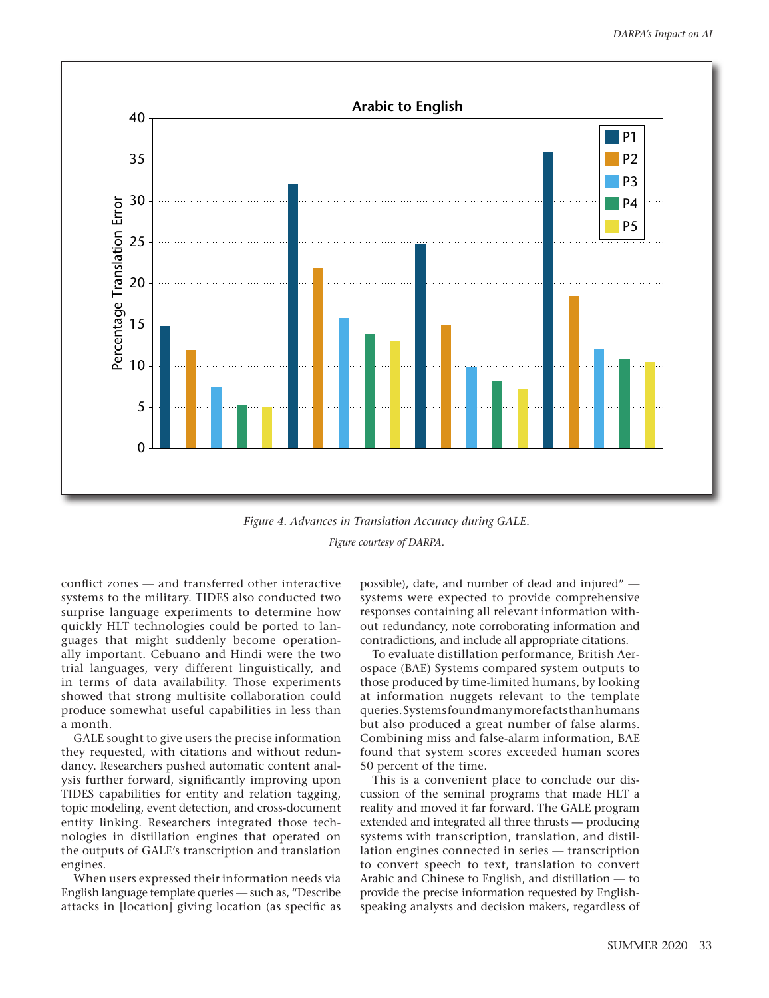

<span id="page-11-0"></span>*Figure 4. Advances in Translation Accuracy during GALE. Figure courtesy of DARPA.*

conflict zones — and transferred other interactive systems to the military. TIDES also conducted two surprise language experiments to determine how quickly HLT technologies could be ported to languages that might suddenly become operationally important. Cebuano and Hindi were the two trial languages, very different linguistically, and in terms of data availability. Those experiments showed that strong multisite collaboration could produce somewhat useful capabilities in less than a month.

GALE sought to give users the precise information they requested, with citations and without redundancy. Researchers pushed automatic content analysis further forward, significantly improving upon TIDES capabilities for entity and relation tagging, topic modeling, event detection, and cross-document entity linking. Researchers integrated those technologies in distillation engines that operated on the outputs of GALE's transcription and translation engines.

When users expressed their information needs via English language template queries — such as, "Describe attacks in [location] giving location (as specific as possible), date, and number of dead and injured" systems were expected to provide comprehensive responses containing all relevant information without redundancy, note corroborating information and contradictions, and include all appropriate citations.

To evaluate distillation performance, British Aerospace (BAE) Systems compared system outputs to those produced by time-limited humans, by looking at information nuggets relevant to the template queries. Systems found many more facts than humans but also produced a great number of false alarms. Combining miss and false-alarm information, BAE found that system scores exceeded human scores 50 percent of the time.

This is a convenient place to conclude our discussion of the seminal programs that made HLT a reality and moved it far forward. The GALE program extended and integrated all three thrusts — producing systems with transcription, translation, and distillation engines connected in series — transcription to convert speech to text, translation to convert Arabic and Chinese to English, and distillation — to provide the precise information requested by Englishspeaking analysts and decision makers, regardless of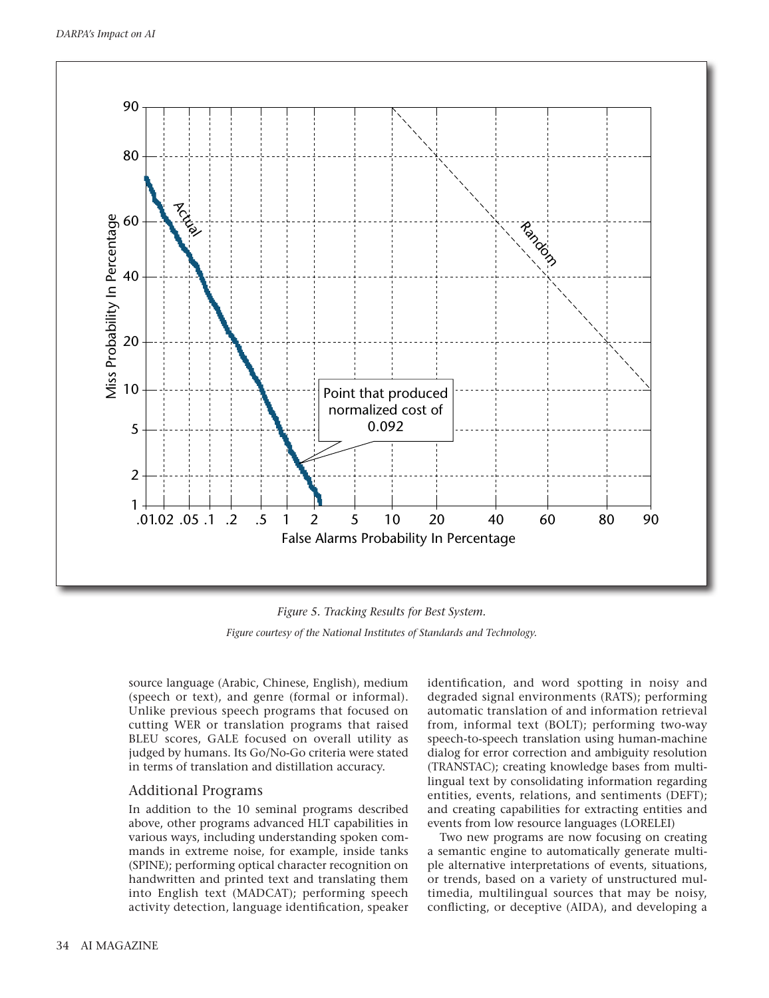

*Figure 5. Tracking Results for Best System.*

<span id="page-12-0"></span>*Figure courtesy of the National Institutes of Standards and Technology.*

source language (Arabic, Chinese, English), medium (speech or text), and genre (formal or informal). Unlike previous speech programs that focused on cutting WER or translation programs that raised BLEU scores, GALE focused on overall utility as judged by humans. Its Go/No-Go criteria were stated in terms of translation and distillation accuracy.

# Additional Programs

In addition to the 10 seminal programs described above, other programs advanced HLT capabilities in various ways, including understanding spoken commands in extreme noise, for example, inside tanks (SPINE); performing optical character recognition on handwritten and printed text and translating them into English text (MADCAT); performing speech activity detection, language identification, speaker identification, and word spotting in noisy and degraded signal environments (RATS); performing automatic translation of and information retrieval from, informal text (BOLT); performing two-way speech-to-speech translation using human-machine dialog for error correction and ambiguity resolution (TRANSTAC); creating knowledge bases from multilingual text by consolidating information regarding entities, events, relations, and sentiments (DEFT); and creating capabilities for extracting entities and events from low resource languages (LORELEI)

Two new programs are now focusing on creating a semantic engine to automatically generate multiple alternative interpretations of events, situations, or trends, based on a variety of unstructured multimedia, multilingual sources that may be noisy, conflicting, or deceptive (AIDA), and developing a